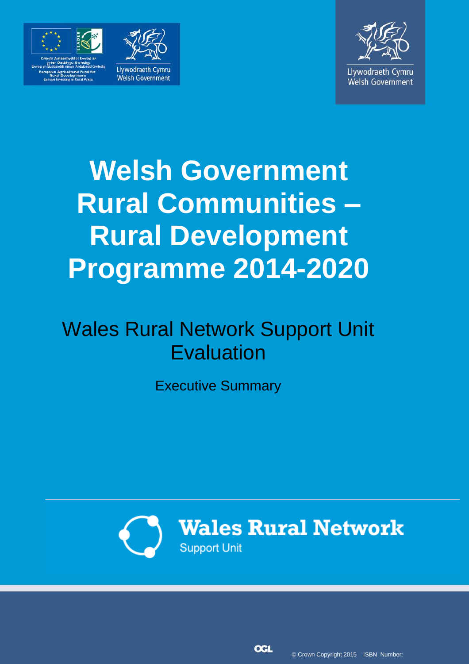



# **Welsh Government Rural Communities – Rural Development Programme 2014-2020**

# Wales Rural Network Support Unit Evaluation

Executive Summary



**Wales Rural Network Support Unit** 

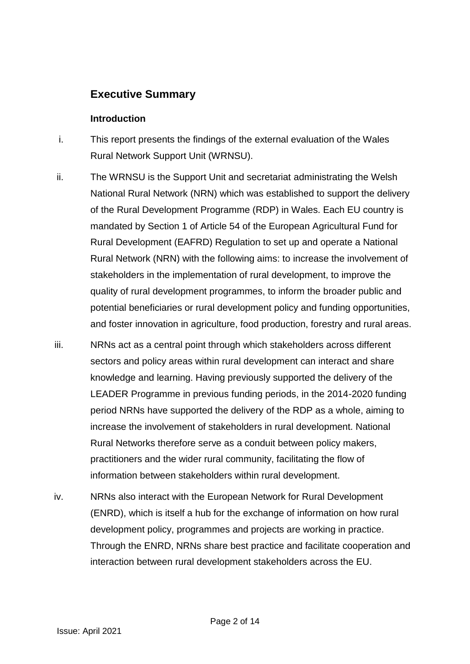# **Executive Summary**

## **Introduction**

- i. This report presents the findings of the external evaluation of the Wales Rural Network Support Unit (WRNSU).
- ii. The WRNSU is the Support Unit and secretariat administrating the Welsh National Rural Network (NRN) which was established to support the delivery of the Rural Development Programme (RDP) in Wales. Each EU country is mandated by Section 1 of Article 54 of the European Agricultural Fund for Rural Development (EAFRD) Regulation to set up and operate a National Rural Network (NRN) with the following aims: to increase the involvement of stakeholders in the implementation of rural development, to improve the quality of rural development programmes, to inform the broader public and potential beneficiaries or rural development policy and funding opportunities, and foster innovation in agriculture, food production, forestry and rural areas.
- iii. NRNs act as a central point through which stakeholders across different sectors and policy areas within rural development can interact and share knowledge and learning. Having previously supported the delivery of the LEADER Programme in previous funding periods, in the 2014-2020 funding period NRNs have supported the delivery of the RDP as a whole, aiming to increase the involvement of stakeholders in rural development. National Rural Networks therefore serve as a conduit between policy makers, practitioners and the wider rural community, facilitating the flow of information between stakeholders within rural development.
- iv. NRNs also interact with the European Network for Rural Development (ENRD), which is itself a hub for the exchange of information on how rural development policy, programmes and projects are working in practice. Through the ENRD, NRNs share best practice and facilitate cooperation and interaction between rural development stakeholders across the EU.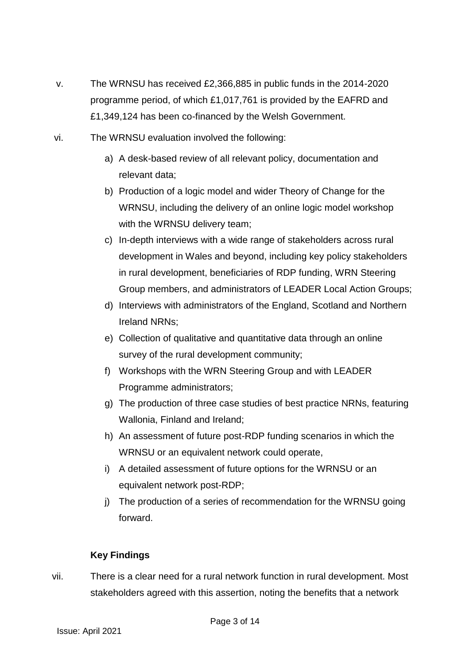- v. The WRNSU has received £2,366,885 in public funds in the 2014-2020 programme period, of which £1,017,761 is provided by the EAFRD and £1,349,124 has been co-financed by the Welsh Government.
- vi. The WRNSU evaluation involved the following:
	- a) A desk-based review of all relevant policy, documentation and relevant data;
	- b) Production of a logic model and wider Theory of Change for the WRNSU, including the delivery of an online logic model workshop with the WRNSU delivery team;
	- c) In-depth interviews with a wide range of stakeholders across rural development in Wales and beyond, including key policy stakeholders in rural development, beneficiaries of RDP funding, WRN Steering Group members, and administrators of LEADER Local Action Groups;
	- d) Interviews with administrators of the England, Scotland and Northern Ireland NRNs;
	- e) Collection of qualitative and quantitative data through an online survey of the rural development community;
	- f) Workshops with the WRN Steering Group and with LEADER Programme administrators;
	- g) The production of three case studies of best practice NRNs, featuring Wallonia, Finland and Ireland;
	- h) An assessment of future post-RDP funding scenarios in which the WRNSU or an equivalent network could operate,
	- i) A detailed assessment of future options for the WRNSU or an equivalent network post-RDP;
	- j) The production of a series of recommendation for the WRNSU going forward.

# **Key Findings**

vii. There is a clear need for a rural network function in rural development. Most stakeholders agreed with this assertion, noting the benefits that a network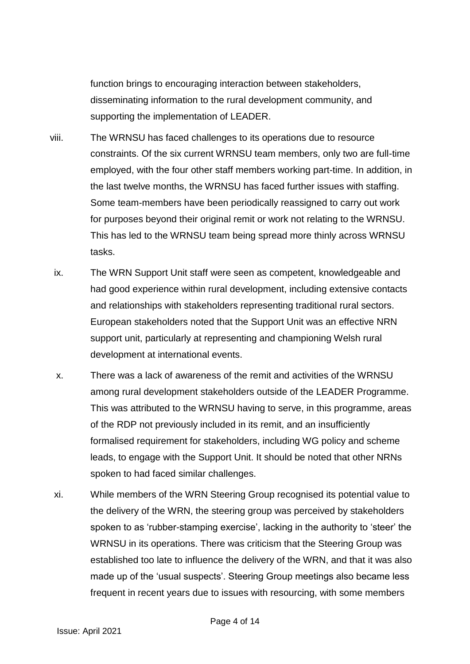function brings to encouraging interaction between stakeholders, disseminating information to the rural development community, and supporting the implementation of LEADER.

- viii. The WRNSU has faced challenges to its operations due to resource constraints. Of the six current WRNSU team members, only two are full-time employed, with the four other staff members working part-time. In addition, in the last twelve months, the WRNSU has faced further issues with staffing. Some team-members have been periodically reassigned to carry out work for purposes beyond their original remit or work not relating to the WRNSU. This has led to the WRNSU team being spread more thinly across WRNSU tasks.
- ix. The WRN Support Unit staff were seen as competent, knowledgeable and had good experience within rural development, including extensive contacts and relationships with stakeholders representing traditional rural sectors. European stakeholders noted that the Support Unit was an effective NRN support unit, particularly at representing and championing Welsh rural development at international events.
- x. There was a lack of awareness of the remit and activities of the WRNSU among rural development stakeholders outside of the LEADER Programme. This was attributed to the WRNSU having to serve, in this programme, areas of the RDP not previously included in its remit, and an insufficiently formalised requirement for stakeholders, including WG policy and scheme leads, to engage with the Support Unit. It should be noted that other NRNs spoken to had faced similar challenges.
- xi. While members of the WRN Steering Group recognised its potential value to the delivery of the WRN, the steering group was perceived by stakeholders spoken to as 'rubber-stamping exercise', lacking in the authority to 'steer' the WRNSU in its operations. There was criticism that the Steering Group was established too late to influence the delivery of the WRN, and that it was also made up of the 'usual suspects'. Steering Group meetings also became less frequent in recent years due to issues with resourcing, with some members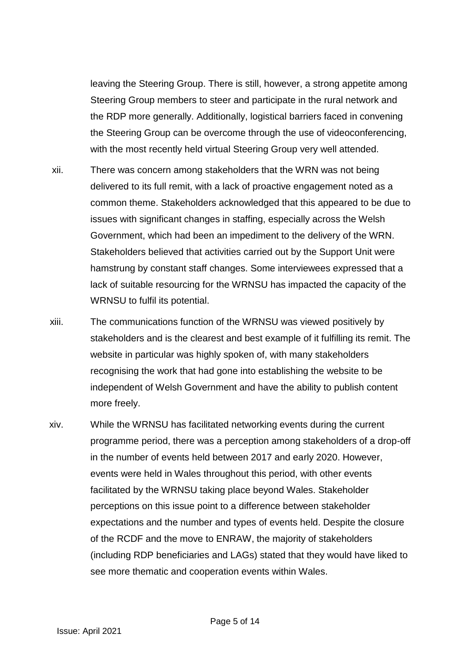leaving the Steering Group. There is still, however, a strong appetite among Steering Group members to steer and participate in the rural network and the RDP more generally. Additionally, logistical barriers faced in convening the Steering Group can be overcome through the use of videoconferencing, with the most recently held virtual Steering Group very well attended.

- xii. There was concern among stakeholders that the WRN was not being delivered to its full remit, with a lack of proactive engagement noted as a common theme. Stakeholders acknowledged that this appeared to be due to issues with significant changes in staffing, especially across the Welsh Government, which had been an impediment to the delivery of the WRN. Stakeholders believed that activities carried out by the Support Unit were hamstrung by constant staff changes. Some interviewees expressed that a lack of suitable resourcing for the WRNSU has impacted the capacity of the WRNSU to fulfil its potential.
- xiii. The communications function of the WRNSU was viewed positively by stakeholders and is the clearest and best example of it fulfilling its remit. The website in particular was highly spoken of, with many stakeholders recognising the work that had gone into establishing the website to be independent of Welsh Government and have the ability to publish content more freely.
- xiv. While the WRNSU has facilitated networking events during the current programme period, there was a perception among stakeholders of a drop-off in the number of events held between 2017 and early 2020. However, events were held in Wales throughout this period, with other events facilitated by the WRNSU taking place beyond Wales. Stakeholder perceptions on this issue point to a difference between stakeholder expectations and the number and types of events held. Despite the closure of the RCDF and the move to ENRAW, the majority of stakeholders (including RDP beneficiaries and LAGs) stated that they would have liked to see more thematic and cooperation events within Wales.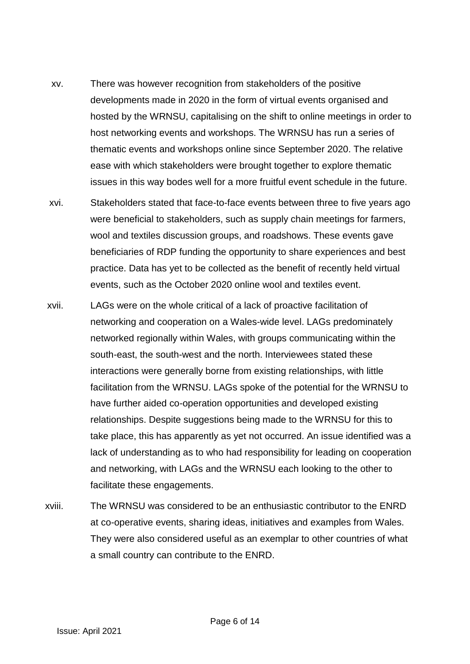- xv. There was however recognition from stakeholders of the positive developments made in 2020 in the form of virtual events organised and hosted by the WRNSU, capitalising on the shift to online meetings in order to host networking events and workshops. The WRNSU has run a series of thematic events and workshops online since September 2020. The relative ease with which stakeholders were brought together to explore thematic issues in this way bodes well for a more fruitful event schedule in the future.
- xvi. Stakeholders stated that face-to-face events between three to five years ago were beneficial to stakeholders, such as supply chain meetings for farmers, wool and textiles discussion groups, and roadshows. These events gave beneficiaries of RDP funding the opportunity to share experiences and best practice. Data has yet to be collected as the benefit of recently held virtual events, such as the October 2020 online wool and textiles event.
- xvii. LAGs were on the whole critical of a lack of proactive facilitation of networking and cooperation on a Wales-wide level. LAGs predominately networked regionally within Wales, with groups communicating within the south-east, the south-west and the north. Interviewees stated these interactions were generally borne from existing relationships, with little facilitation from the WRNSU. LAGs spoke of the potential for the WRNSU to have further aided co-operation opportunities and developed existing relationships. Despite suggestions being made to the WRNSU for this to take place, this has apparently as yet not occurred. An issue identified was a lack of understanding as to who had responsibility for leading on cooperation and networking, with LAGs and the WRNSU each looking to the other to facilitate these engagements.
- xviii. The WRNSU was considered to be an enthusiastic contributor to the ENRD at co-operative events, sharing ideas, initiatives and examples from Wales. They were also considered useful as an exemplar to other countries of what a small country can contribute to the ENRD.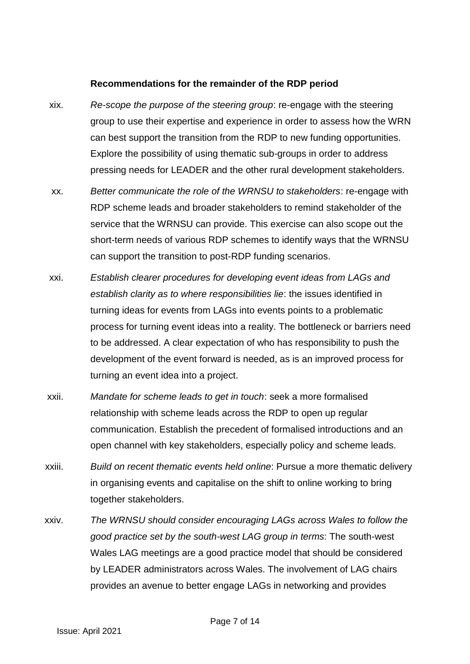#### **Recommendations for the remainder of the RDP period**

- xix. *Re-scope the purpose of the steering group*: re-engage with the steering group to use their expertise and experience in order to assess how the WRN can best support the transition from the RDP to new funding opportunities. Explore the possibility of using thematic sub-groups in order to address pressing needs for LEADER and the other rural development stakeholders.
- xx. *Better communicate the role of the WRNSU to stakeholders*: re-engage with RDP scheme leads and broader stakeholders to remind stakeholder of the service that the WRNSU can provide. This exercise can also scope out the short-term needs of various RDP schemes to identify ways that the WRNSU can support the transition to post-RDP funding scenarios.
- xxi. *Establish clearer procedures for developing event ideas from LAGs and establish clarity as to where responsibilities lie*: the issues identified in turning ideas for events from LAGs into events points to a problematic process for turning event ideas into a reality. The bottleneck or barriers need to be addressed. A clear expectation of who has responsibility to push the development of the event forward is needed, as is an improved process for turning an event idea into a project.
- xxii. *Mandate for scheme leads to get in touch*: seek a more formalised relationship with scheme leads across the RDP to open up regular communication. Establish the precedent of formalised introductions and an open channel with key stakeholders, especially policy and scheme leads.
- xxiii. *Build on recent thematic events held online*: Pursue a more thematic delivery in organising events and capitalise on the shift to online working to bring together stakeholders.
- xxiv. *The WRNSU should consider encouraging LAGs across Wales to follow the good practice set by the south-west LAG group in terms*: The south-west Wales LAG meetings are a good practice model that should be considered by LEADER administrators across Wales. The involvement of LAG chairs provides an avenue to better engage LAGs in networking and provides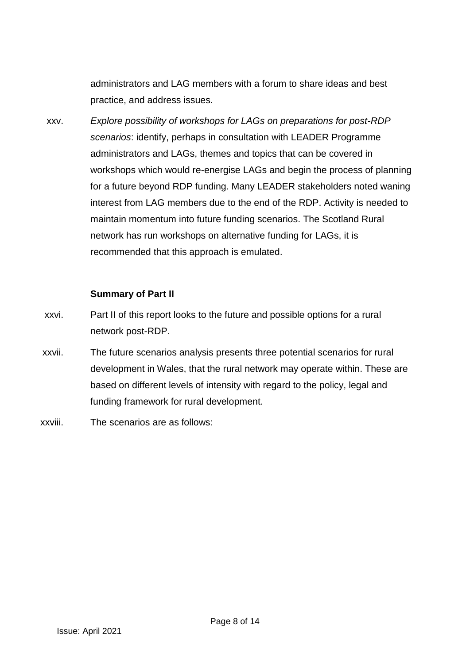administrators and LAG members with a forum to share ideas and best practice, and address issues.

xxv. *Explore possibility of workshops for LAGs on preparations for post-RDP scenarios*: identify, perhaps in consultation with LEADER Programme administrators and LAGs, themes and topics that can be covered in workshops which would re-energise LAGs and begin the process of planning for a future beyond RDP funding. Many LEADER stakeholders noted waning interest from LAG members due to the end of the RDP. Activity is needed to maintain momentum into future funding scenarios. The Scotland Rural network has run workshops on alternative funding for LAGs, it is recommended that this approach is emulated.

### **Summary of Part II**

- xxvi. Part II of this report looks to the future and possible options for a rural network post-RDP.
- xxvii. The future scenarios analysis presents three potential scenarios for rural development in Wales, that the rural network may operate within. These are based on different levels of intensity with regard to the policy, legal and funding framework for rural development.
- xxviii. The scenarios are as follows: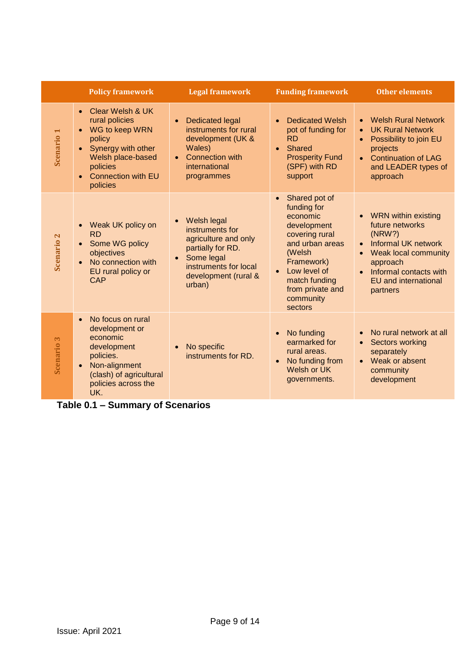|                       | <b>Policy framework</b>                                                                                                                                                                                            | <b>Legal framework</b>                                                                                                                                            | <b>Funding framework</b>                                                                                                                                                                                       | <b>Other elements</b>                                                                                                                                                                                                    |
|-----------------------|--------------------------------------------------------------------------------------------------------------------------------------------------------------------------------------------------------------------|-------------------------------------------------------------------------------------------------------------------------------------------------------------------|----------------------------------------------------------------------------------------------------------------------------------------------------------------------------------------------------------------|--------------------------------------------------------------------------------------------------------------------------------------------------------------------------------------------------------------------------|
| <b>Scenario 1</b>     | Clear Welsh & UK<br>$\bullet$<br>rural policies<br>WG to keep WRN<br>$\bullet$<br>policy<br>Synergy with other<br>$\bullet$<br>Welsh place-based<br>policies<br><b>Connection with EU</b><br>$\bullet$<br>policies | <b>Dedicated legal</b><br>$\bullet$<br>instruments for rural<br>development (UK &<br>Wales)<br><b>Connection with</b><br>international<br>programmes              | <b>Dedicated Welsh</b><br>$\bullet$<br>pot of funding for<br><b>RD</b><br>Shared<br><b>Prosperity Fund</b><br>(SPF) with RD<br>support                                                                         | <b>Welsh Rural Network</b><br><b>UK Rural Network</b><br>Possibility to join EU<br>$\bullet$<br>projects<br><b>Continuation of LAG</b><br>and LEADER types of<br>approach                                                |
| Scenario <sub>2</sub> | Weak UK policy on<br>$\bullet$<br><b>RD</b><br>Some WG policy<br>$\bullet$<br>objectives<br>No connection with<br>$\bullet$<br>EU rural policy or<br>CAP                                                           | Welsh legal<br>instruments for<br>agriculture and only<br>partially for RD.<br>Some legal<br>$\bullet$<br>instruments for local<br>development (rural &<br>urban) | Shared pot of<br>funding for<br>economic<br>development<br>covering rural<br>and urban areas<br>(Welsh<br>Framework)<br>Low level of<br>$\bullet$<br>match funding<br>from private and<br>community<br>sectors | <b>WRN within existing</b><br>future networks<br>(NRW?)<br><b>Informal UK network</b><br>$\bullet$<br>Weak local community<br>approach<br>Informal contacts with<br>$\bullet$<br><b>EU</b> and international<br>partners |
| <b>Scenario 3</b>     | No focus on rural<br>$\bullet$<br>development or<br>economic<br>development<br>policies.<br>Non-alignment<br>$\bullet$<br>(clash) of agricultural<br>policies across the<br>UK.                                    | No specific<br>instruments for RD.                                                                                                                                | No funding<br>$\bullet$<br>earmarked for<br>rural areas.<br>No funding from<br>$\bullet$<br>Welsh or UK<br>governments.                                                                                        | No rural network at all<br>Sectors working<br>$\bullet$<br>separately<br>Weak or absent<br>$\bullet$<br>community<br>development                                                                                         |

**Table 0.1 – Summary of Scenarios**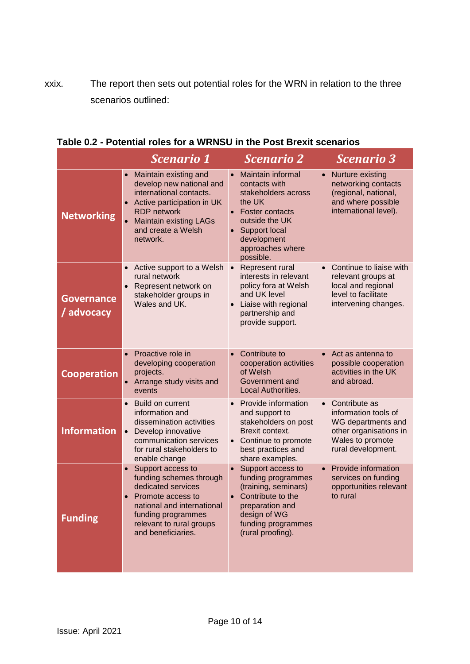xxix. The report then sets out potential roles for the WRN in relation to the three scenarios outlined:

|                                 | <b>Scenario 1</b>                                                                                                                                                                                                                          | <b>Scenario 2</b>                                                                                                                                                                                                                     | <b>Scenario 3</b>                                                                                                               |
|---------------------------------|--------------------------------------------------------------------------------------------------------------------------------------------------------------------------------------------------------------------------------------------|---------------------------------------------------------------------------------------------------------------------------------------------------------------------------------------------------------------------------------------|---------------------------------------------------------------------------------------------------------------------------------|
| <b>Networking</b>               | Maintain existing and<br>$\bullet$<br>develop new national and<br>international contacts.<br>Active participation in UK<br>$\bullet$<br><b>RDP</b> network<br>$\bullet$<br><b>Maintain existing LAGs</b><br>and create a Welsh<br>network. | <b>Maintain informal</b><br>$\bullet$<br>contacts with<br>stakeholders across<br>the UK<br><b>Foster contacts</b><br>$\bullet$<br>outside the UK<br><b>Support local</b><br>$\bullet$<br>development<br>approaches where<br>possible. | • Nurture existing<br>networking contacts<br>(regional, national,<br>and where possible<br>international level).                |
| <b>Governance</b><br>/ advocacy | Active support to a Welsh<br>rural network<br>Represent network on<br>$\bullet$<br>stakeholder groups in<br>Wales and UK.                                                                                                                  | Represent rural<br>$\bullet$<br>interests in relevant<br>policy fora at Welsh<br>and UK level<br>Liaise with regional<br>partnership and<br>provide support.                                                                          | Continue to liaise with<br>relevant groups at<br>local and regional<br>level to facilitate<br>intervening changes.              |
| <b>Cooperation</b>              | Proactive role in<br>developing cooperation<br>projects.<br>Arrange study visits and<br>$\bullet$<br>events                                                                                                                                | Contribute to<br>$\bullet$<br>cooperation activities<br>of Welsh<br>Government and<br><b>Local Authorities.</b>                                                                                                                       | Act as antenna to<br>$\bullet$<br>possible cooperation<br>activities in the UK<br>and abroad.                                   |
| <b>Information</b>              | <b>Build on current</b><br>$\bullet$<br>information and<br>dissemination activities<br>Develop innovative<br>$\bullet$<br>communication services<br>for rural stakeholders to<br>enable change                                             | Provide information<br>and support to<br>stakeholders on post<br>Brexit context.<br>Continue to promote<br>$\bullet$<br>best practices and<br>share examples.                                                                         | Contribute as<br>information tools of<br>WG departments and<br>other organisations in<br>Wales to promote<br>rural development. |
| <b>Funding</b>                  | Support access to<br>$\bullet$<br>funding schemes through<br>dedicated services<br>Promote access to<br>$\bullet$<br>national and international<br>funding programmes<br>relevant to rural groups<br>and beneficiaries.                    | Support access to<br>funding programmes<br>(training, seminars)<br>Contribute to the<br>$\bullet$<br>preparation and<br>design of WG<br>funding programmes<br>(rural proofing).                                                       | Provide information<br>$\bullet$<br>services on funding<br>opportunities relevant<br>to rural                                   |

| Table 0.2 - Potential roles for a WRNSU in the Post Brexit scenarios |  |  |
|----------------------------------------------------------------------|--|--|
|----------------------------------------------------------------------|--|--|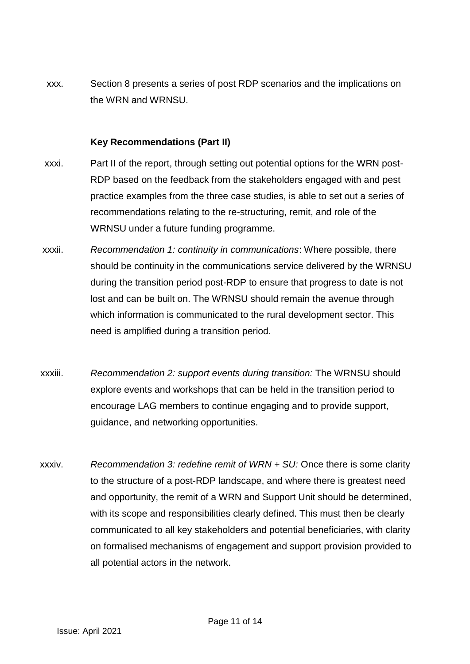xxx. Section 8 presents a series of post RDP scenarios and the implications on the WRN and WRNSU.

### **Key Recommendations (Part II)**

- xxxi. Part II of the report, through setting out potential options for the WRN post-RDP based on the feedback from the stakeholders engaged with and pest practice examples from the three case studies, is able to set out a series of recommendations relating to the re-structuring, remit, and role of the WRNSU under a future funding programme.
- xxxii. *Recommendation 1: continuity in communications*: Where possible, there should be continuity in the communications service delivered by the WRNSU during the transition period post-RDP to ensure that progress to date is not lost and can be built on. The WRNSU should remain the avenue through which information is communicated to the rural development sector. This need is amplified during a transition period.
- xxxiii. *Recommendation 2: support events during transition:* The WRNSU should explore events and workshops that can be held in the transition period to encourage LAG members to continue engaging and to provide support, guidance, and networking opportunities.
- xxxiv. *Recommendation 3: redefine remit of WRN + SU:* Once there is some clarity to the structure of a post-RDP landscape, and where there is greatest need and opportunity, the remit of a WRN and Support Unit should be determined, with its scope and responsibilities clearly defined. This must then be clearly communicated to all key stakeholders and potential beneficiaries, with clarity on formalised mechanisms of engagement and support provision provided to all potential actors in the network.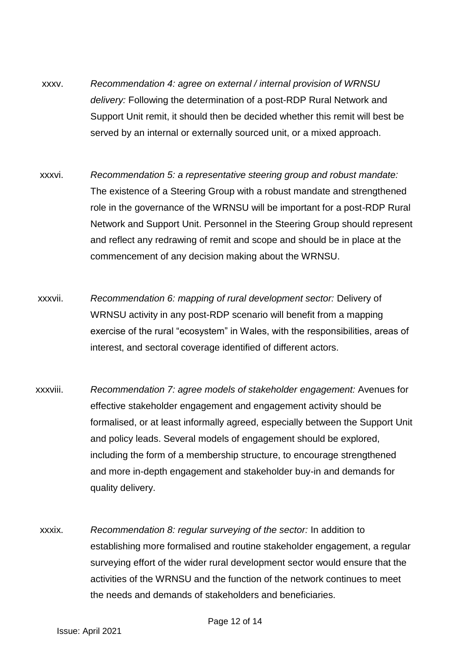- xxxv. *Recommendation 4: agree on external / internal provision of WRNSU delivery:* Following the determination of a post-RDP Rural Network and Support Unit remit, it should then be decided whether this remit will best be served by an internal or externally sourced unit, or a mixed approach.
- xxxvi. *Recommendation 5: a representative steering group and robust mandate:*  The existence of a Steering Group with a robust mandate and strengthened role in the governance of the WRNSU will be important for a post-RDP Rural Network and Support Unit. Personnel in the Steering Group should represent and reflect any redrawing of remit and scope and should be in place at the commencement of any decision making about the WRNSU.
- xxxvii. *Recommendation 6: mapping of rural development sector:* Delivery of WRNSU activity in any post-RDP scenario will benefit from a mapping exercise of the rural "ecosystem" in Wales, with the responsibilities, areas of interest, and sectoral coverage identified of different actors.
- xxxviii. *Recommendation 7: agree models of stakeholder engagement:* Avenues for effective stakeholder engagement and engagement activity should be formalised, or at least informally agreed, especially between the Support Unit and policy leads. Several models of engagement should be explored, including the form of a membership structure, to encourage strengthened and more in-depth engagement and stakeholder buy-in and demands for quality delivery.
- xxxix. *Recommendation 8: regular surveying of the sector:* In addition to establishing more formalised and routine stakeholder engagement, a regular surveying effort of the wider rural development sector would ensure that the activities of the WRNSU and the function of the network continues to meet the needs and demands of stakeholders and beneficiaries.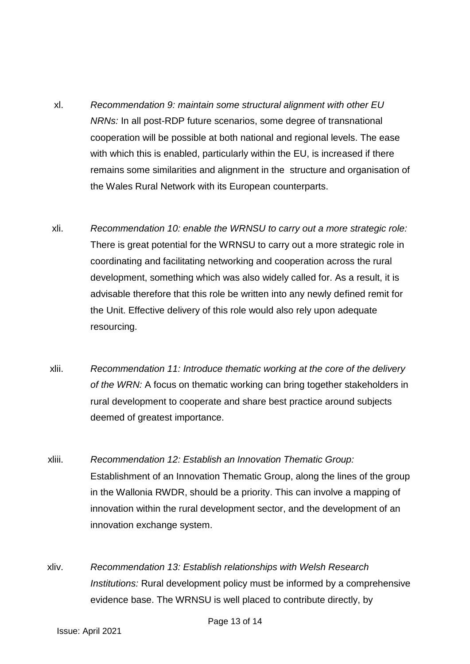- xl. *Recommendation 9: maintain some structural alignment with other EU NRNs:* In all post-RDP future scenarios, some degree of transnational cooperation will be possible at both national and regional levels. The ease with which this is enabled, particularly within the EU, is increased if there remains some similarities and alignment in the structure and organisation of the Wales Rural Network with its European counterparts.
- xli. *Recommendation 10: enable the WRNSU to carry out a more strategic role:*  There is great potential for the WRNSU to carry out a more strategic role in coordinating and facilitating networking and cooperation across the rural development, something which was also widely called for. As a result, it is advisable therefore that this role be written into any newly defined remit for the Unit. Effective delivery of this role would also rely upon adequate resourcing.
- xlii. *Recommendation 11: Introduce thematic working at the core of the delivery of the WRN:* A focus on thematic working can bring together stakeholders in rural development to cooperate and share best practice around subjects deemed of greatest importance.
- xliii. *Recommendation 12: Establish an Innovation Thematic Group:*  Establishment of an Innovation Thematic Group, along the lines of the group in the Wallonia RWDR, should be a priority. This can involve a mapping of innovation within the rural development sector, and the development of an innovation exchange system.
- xliv. *Recommendation 13: Establish relationships with Welsh Research Institutions:* Rural development policy must be informed by a comprehensive evidence base. The WRNSU is well placed to contribute directly, by